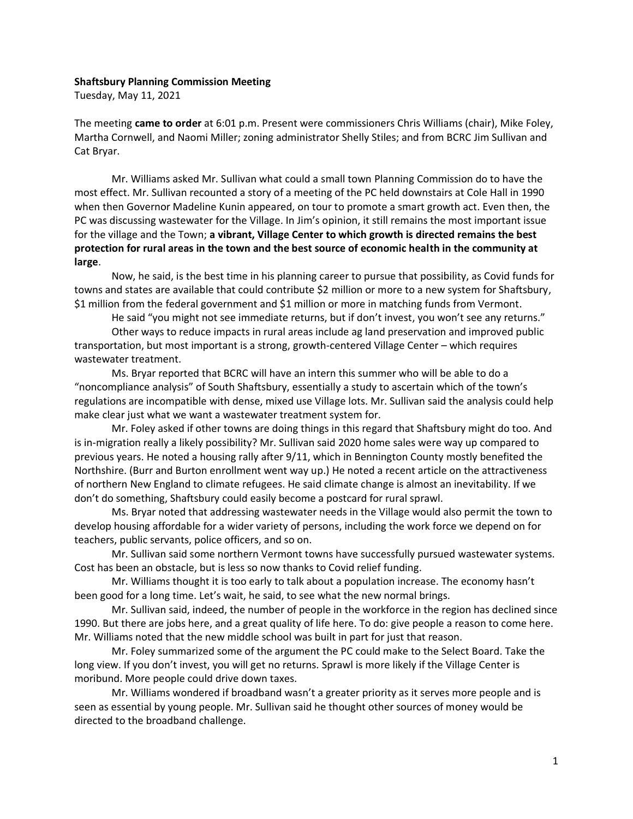## **Shaftsbury Planning Commission Meeting**

Tuesday, May 11, 2021

The meeting **came to order** at 6:01 p.m. Present were commissioners Chris Williams (chair), Mike Foley, Martha Cornwell, and Naomi Miller; zoning administrator Shelly Stiles; and from BCRC Jim Sullivan and Cat Bryar.

Mr. Williams asked Mr. Sullivan what could a small town Planning Commission do to have the most effect. Mr. Sullivan recounted a story of a meeting of the PC held downstairs at Cole Hall in 1990 when then Governor Madeline Kunin appeared, on tour to promote a smart growth act. Even then, the PC was discussing wastewater for the Village. In Jim's opinion, it still remains the most important issue for the village and the Town; **a vibrant, Village Center to which growth is directed remains the best protection for rural areas in the town and the best source of economic health in the community at large**.

Now, he said, is the best time in his planning career to pursue that possibility, as Covid funds for towns and states are available that could contribute \$2 million or more to a new system for Shaftsbury, \$1 million from the federal government and \$1 million or more in matching funds from Vermont.

He said "you might not see immediate returns, but if don't invest, you won't see any returns." Other ways to reduce impacts in rural areas include ag land preservation and improved public transportation, but most important is a strong, growth-centered Village Center – which requires wastewater treatment.

Ms. Bryar reported that BCRC will have an intern this summer who will be able to do a "noncompliance analysis" of South Shaftsbury, essentially a study to ascertain which of the town's regulations are incompatible with dense, mixed use Village lots. Mr. Sullivan said the analysis could help make clear just what we want a wastewater treatment system for.

Mr. Foley asked if other towns are doing things in this regard that Shaftsbury might do too. And is in-migration really a likely possibility? Mr. Sullivan said 2020 home sales were way up compared to previous years. He noted a housing rally after 9/11, which in Bennington County mostly benefited the Northshire. (Burr and Burton enrollment went way up.) He noted a recent article on the attractiveness of northern New England to climate refugees. He said climate change is almost an inevitability. If we don't do something, Shaftsbury could easily become a postcard for rural sprawl.

Ms. Bryar noted that addressing wastewater needs in the Village would also permit the town to develop housing affordable for a wider variety of persons, including the work force we depend on for teachers, public servants, police officers, and so on.

Mr. Sullivan said some northern Vermont towns have successfully pursued wastewater systems. Cost has been an obstacle, but is less so now thanks to Covid relief funding.

Mr. Williams thought it is too early to talk about a population increase. The economy hasn't been good for a long time. Let's wait, he said, to see what the new normal brings.

Mr. Sullivan said, indeed, the number of people in the workforce in the region has declined since 1990. But there are jobs here, and a great quality of life here. To do: give people a reason to come here. Mr. Williams noted that the new middle school was built in part for just that reason.

Mr. Foley summarized some of the argument the PC could make to the Select Board. Take the long view. If you don't invest, you will get no returns. Sprawl is more likely if the Village Center is moribund. More people could drive down taxes.

Mr. Williams wondered if broadband wasn't a greater priority as it serves more people and is seen as essential by young people. Mr. Sullivan said he thought other sources of money would be directed to the broadband challenge.